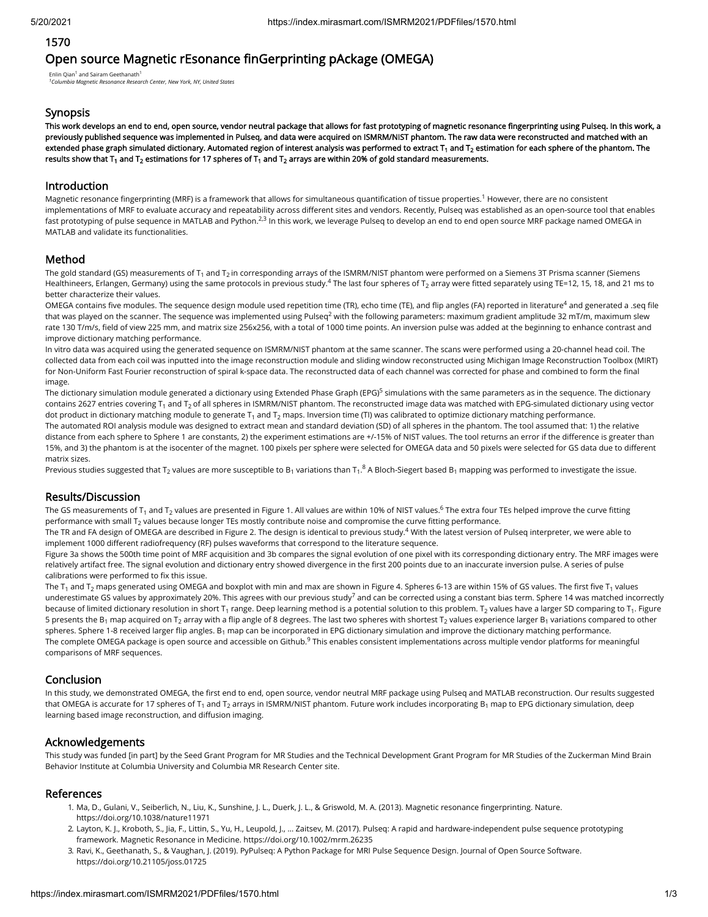### 1570

# Open source Magnetic rEsonance finGerprinting pAckage (OMEGA)

Enlin Qian<sup>1</sup> and Sairam Geethanath<sup>1</sup> <sup>1</sup> Columbia Magnetic Resonance Research Center, New York, NY, United States

### **Synopsis**

This work develops an end to end, open source, vendor neutral package that allows for fast prototyping of magnetic resonance fingerprinting using Pulseq. In this work, a previously published sequence was implemented in Pulseq, and data were acquired on ISMRM/NIST phantom. The raw data were reconstructed and matched with an extended phase graph simulated dictionary. Automated region of interest analysis was performed to extract T<sub>1</sub> and T<sub>2</sub> estimation for each sphere of the phantom. The results show that T $_{\rm 1}$  and T $_{\rm 2}$  estimations for 17 spheres of T $_{\rm 1}$  and T $_{\rm 2}$  arrays are within 20% of gold standard measurements.

#### Introduction

Magnetic resonance fingerprinting (MRF) is a framework that allows for simultaneous quantification of tissue properties.<sup>1</sup> However, there are no consistent implementations of MRF to evaluate accuracy and repeatability across different sites and vendors. Recently, Pulseq was established as an open-source tool that enables fast prototyping of pulse sequence in MATLAB and Python.<sup>2,3</sup> In this work, we leverage Pulseq to develop an end to end open source MRF package named OMEGA in MATLAB and validate its functionalities.

# Method

The gold standard (GS) measurements of T<sub>1</sub> and T<sub>2</sub> in corresponding arrays of the ISMRM/NIST phantom were performed on a Siemens 3T Prisma scanner (Siemens Healthineers, Erlangen, Germany) using the same protocols in previous study.<sup>4</sup> The last four spheres of T<sub>2</sub> array were fitted separately using TE=12, 15, 18, and 21 ms to better characterize their values.

OMEGA contains five modules. The sequence design module used repetition time (TR), echo time (TE), and flip angles (FA) reported in literature<sup>4</sup> and generated a .seq file that was played on the scanner. The sequence was implemented using Pulseq<sup>2</sup> with the following parameters: maximum gradient amplitude 32 mT/m, maximum slew rate 130 T/m/s, field of view 225 mm, and matrix size 256x256, with a total of 1000 time points. An inversion pulse was added at the beginning to enhance contrast and improve dictionary matching performance.

In vitro data was acquired using the generated sequence on ISMRM/NIST phantom at the same scanner. The scans were performed using a 20-channel head coil. The collected data from each coil was inputted into the image reconstruction module and sliding window reconstructed using Michigan Image Reconstruction Toolbox (MIRT) for Non-Uniform Fast Fourier reconstruction of spiral k-space data. The reconstructed data of each channel was corrected for phase and combined to form the final image.

The dictionary simulation module generated a dictionary using Extended Phase Graph (EPG)<sup>5</sup> simulations with the same parameters as in the sequence. The dictionary contains 2627 entries covering T<sub>1</sub> and T<sub>2</sub> of all spheres in ISMRM/NIST phantom. The reconstructed image data was matched with EPG-simulated dictionary using vector dot product in dictionary matching module to generate T $_{\rm 1}$  and T $_{\rm 2}$  maps. Inversion time (TI) was calibrated to optimize dictionary matching performance. The automated ROI analysis module was designed to extract mean and standard deviation (SD) of all spheres in the phantom. The tool assumed that: 1) the relative distance from each sphere to Sphere 1 are constants, 2) the experiment estimations are +/-15% of NIST values. The tool returns an error if the difference is greater than 15%, and 3) the phantom is at the isocenter of the magnet. 100 pixels per sphere were selected for OMEGA data and 50 pixels were selected for GS data due to different matrix sizes.

Previous studies suggested that T<sub>2</sub> values are more susceptible to B<sub>1</sub> variations than T<sub>1</sub>.8 A Bloch-Siegert based B<sub>1</sub> mapping was performed to investigate the issue.

#### Results/Discussion

The GS measurements of T<sub>1</sub> and T<sub>2</sub> values are presented in Figure 1. All values are within 10% of NIST values.<sup>6</sup> The extra four TEs helped improve the curve fitting performance with small T $_2$  values because longer TEs mostly contribute noise and compromise the curve fitting performance.

The TR and FA design of OMEGA are described in Figure 2. The design is identical to previous study. $^4$  With the latest version of Pulseq interpreter, we were able to implement 1000 different radiofrequency (RF) pulses waveforms that correspond to the literature sequence.

Figure 3a shows the 500th time point of MRF acquisition and 3b compares the signal evolution of one pixel with its corresponding dictionary entry. The MRF images were relatively artifact free. The signal evolution and dictionary entry showed divergence in the first 200 points due to an inaccurate inversion pulse. A series of pulse calibrations were performed to fix this issue.

The T<sub>1</sub> and T<sub>2</sub> maps generated using OMEGA and boxplot with min and max are shown in Figure 4. Spheres 6-13 are within 15% of GS values. The first five T<sub>1</sub> values underestimate GS values by approximately 20%. This agrees with our previous study<sup>7</sup> and can be corrected using a constant bias term. Sphere 14 was matched incorrectly because of limited dictionary resolution in short T<sub>1</sub> range. Deep learning method is a potential solution to this problem. T<sub>2</sub> values have a larger SD comparing to T<sub>1</sub>. Figure 5 presents the B<sub>1</sub> map acquired on T<sub>2</sub> array with a flip angle of 8 degrees. The last two spheres with shortest T<sub>2</sub> values experience larger B<sub>1</sub> variations compared to other spheres. Sphere 1-8 received larger flip angles. B<sub>1</sub> map can be incorporated in EPG dictionary simulation and improve the dictionary matching performance. The complete OMEGA package is open source and accessible on Github. $^9$  This enables consistent implementations across multiple vendor platforms for meaningful comparisons of MRF sequences.

# Conclusion

In this study, we demonstrated OMEGA, the first end to end, open source, vendor neutral MRF package using Pulseq and MATLAB reconstruction. Our results suggested that OMEGA is accurate for 17 spheres of T<sub>1</sub> and T<sub>2</sub> arrays in ISMRM/NIST phantom. Future work includes incorporating B<sub>1</sub> map to EPG dictionary simulation, deep learning based image reconstruction, and diffusion imaging.

# Acknowledgements

This study was funded [in part] by the Seed Grant Program for MR Studies and the Technical Development Grant Program for MR Studies of the Zuckerman Mind Brain Behavior Institute at Columbia University and Columbia MR Research Center site.

# References

- 1. Ma, D., Gulani, V., Seiberlich, N., Liu, K., Sunshine, J. L., Duerk, J. L., & Griswold, M. A. (2013). Magnetic resonance fingerprinting. Nature. https://doi.org/10.1038/nature11971
- 2. Layton, K. J., Kroboth, S., Jia, F., Littin, S., Yu, H., Leupold, J., … Zaitsev, M. (2017). Pulseq: A rapid and hardware-independent pulse sequence prototyping framework. Magnetic Resonance in Medicine. https://doi.org/10.1002/mrm.26235
- 3. Ravi, K., Geethanath, S., & Vaughan, J. (2019). PyPulseq: A Python Package for MRI Pulse Sequence Design. Journal of Open Source Software. https://doi.org/10.21105/joss.01725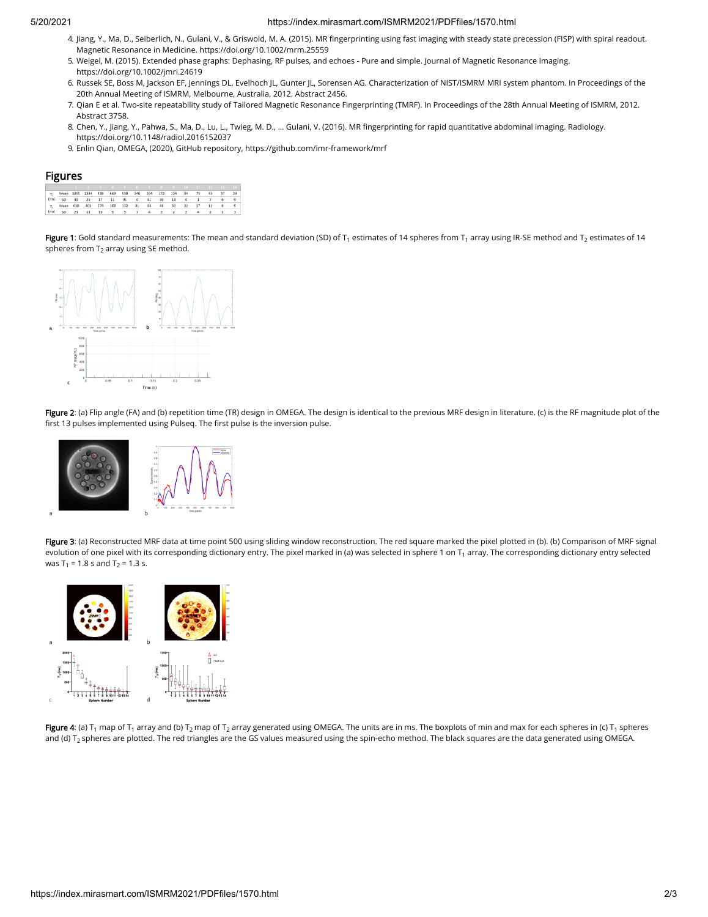#### 5/20/2021 https://index.mirasmart.com/ISMRM2021/PDFfiles/1570.html

- 4. Jiang, Y., Ma, D., Seiberlich, N., Gulani, V., & Griswold, M. A. (2015). MR ngerprinting using fast imaging with steady state precession (FISP) with spiral readout. Magnetic Resonance in Medicine. https://doi.org/10.1002/mrm.25559
- 5. Weigel, M. (2015). Extended phase graphs: Dephasing, RF pulses, and echoes Pure and simple. Journal of Magnetic Resonance Imaging. https://doi.org/10.1002/jmri.24619
- 6. Russek SE, Boss M, Jackson EF, Jennings DL, Evelhoch JL, Gunter JL, Sorensen AG. Characterization of NIST/ISMRM MRI system phantom. In Proceedings of the 20th Annual Meeting of ISMRM, Melbourne, Australia, 2012. Abstract 2456.
- 7. Qian E et al. Two-site repeatability study of Tailored Magnetic Resonance Fingerprinting (TMRF). In Proceedings of the 28th Annual Meeting of ISMRM, 2012. Abstract 3758.
- 8. Chen, Y., Jiang, Y., Pahwa, S., Ma, D., Lu, L., Twieg, M. D., ... Gulani, V. (2016). MR fingerprinting for rapid quantitative abdominal imaging. Radiology. https://doi.org/10.1148/radiol.2016152037
- 9. Enlin Qian, OMEGA, (2020), GitHub repository, https://github.com/imr-framework/mrf

#### Figures

|                                                                    | 1 2 3 4 5 6 7 8 9 10 11 12 13 14 |  |  |  |  |  |  |
|--------------------------------------------------------------------|----------------------------------|--|--|--|--|--|--|
| T, Mean 1855 1384 938 669 538 346 264 172 134 84 75 43 37 20       |                                  |  |  |  |  |  |  |
| (ms) SD 30 25 17 11 91 4 41 30 18 4 1 7 6 9                        |                                  |  |  |  |  |  |  |
| T <sub>1</sub> , Mean 610 401 274 183 132 91 64 46 32 22 17 12 6 5 |                                  |  |  |  |  |  |  |
| (ms) SD 23 13 10 9 5 7 4 3 2 3 4 2 1 1                             |                                  |  |  |  |  |  |  |

**Figure 1**: Gold standard measurements: The mean and standard deviation (SD) of T<sub>1</sub> estimates of 14 spheres from T<sub>1</sub> array using IR-SE method and T<sub>2</sub> estimates of 14 spheres from  ${\sf T}_2$  array using SE method.



Figure 2: (a) Flip angle (FA) and (b) repetition time (TR) design in OMEGA. The design is identical to the previous MRF design in literature. (c) is the RF magnitude plot of the first 13 pulses implemented using Pulseq. The first pulse is the inversion pulse.



Figure 3: (a) Reconstructed MRF data at time point 500 using sliding window reconstruction. The red square marked the pixel plotted in (b). (b) Comparison of MRF signal evolution of one pixel with its corresponding dictionary entry. The pixel marked in (a) was selected in sphere 1 on T $_{\rm 1}$  array. The corresponding dictionary entry selected was T<sub>1</sub> = 1.8 s and T<sub>2</sub> = 1.3 s.



**Figure 4**: (a) T<sub>1</sub> map of T<sub>1</sub> array and (b) T<sub>2</sub> map of T<sub>2</sub> array generated using OMEGA. The units are in ms. The boxplots of min and max for each spheres in (c) T<sub>1</sub> spheres and (d) T $_2$  spheres are plotted. The red triangles are the GS values measured using the spin-echo method. The black squares are the data generated using OMEGA.